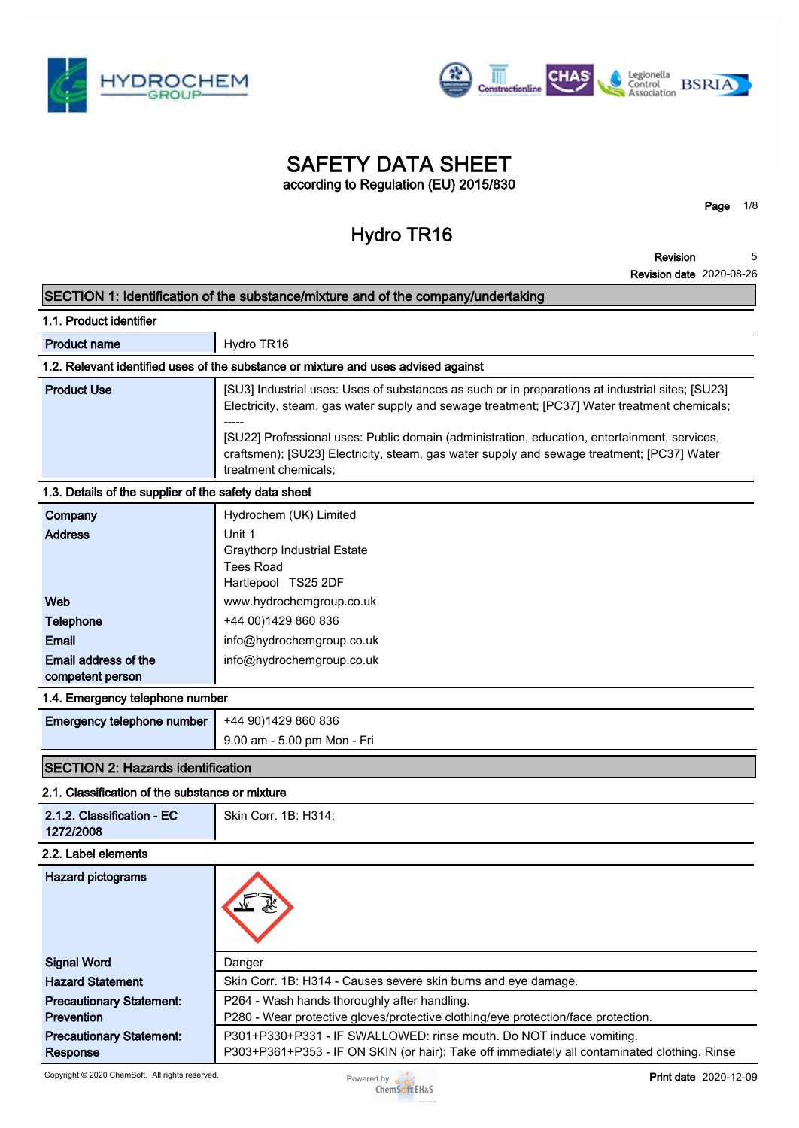



## **SAFETY DATA SHEET according to Regulation (EU) 2015/830**

**Hydro TR16**

**Revision**

**Page 1/8**

**Revision date 2020-08-26 5**

## **SECTION 1: Identification of the substance/mixture and of the company/undertaking**

|                                                       | SECTION 1. Refiguration of the substance/initiative and of the company/undertaking                                                                                                                                 |
|-------------------------------------------------------|--------------------------------------------------------------------------------------------------------------------------------------------------------------------------------------------------------------------|
| 1.1. Product identifier                               |                                                                                                                                                                                                                    |
| <b>Product name</b>                                   | Hydro TR16                                                                                                                                                                                                         |
|                                                       | 1.2. Relevant identified uses of the substance or mixture and uses advised against                                                                                                                                 |
| <b>Product Use</b>                                    | [SU3] Industrial uses: Uses of substances as such or in preparations at industrial sites; [SU23]<br>Electricity, steam, gas water supply and sewage treatment; [PC37] Water treatment chemicals;                   |
|                                                       | [SU22] Professional uses: Public domain (administration, education, entertainment, services,<br>craftsmen); [SU23] Electricity, steam, gas water supply and sewage treatment; [PC37] Water<br>treatment chemicals; |
| 1.3. Details of the supplier of the safety data sheet |                                                                                                                                                                                                                    |
| Company<br><b>Address</b>                             | Hydrochem (UK) Limited<br>Unit 1<br><b>Graythorp Industrial Estate</b><br><b>Tees Road</b><br>Hartlepool TS25 2DF                                                                                                  |
| Web                                                   | www.hydrochemgroup.co.uk                                                                                                                                                                                           |
| <b>Telephone</b>                                      | +44 00)1429 860 836                                                                                                                                                                                                |
| <b>Email</b>                                          | info@hydrochemgroup.co.uk                                                                                                                                                                                          |
| Email address of the<br>competent person              | info@hydrochemgroup.co.uk                                                                                                                                                                                          |
| 1.4. Emergency telephone number                       |                                                                                                                                                                                                                    |
| Emergency telephone number                            | +44 90)1429 860 836<br>9.00 am - 5.00 pm Mon - Fri                                                                                                                                                                 |
| <b>SECTION 2: Hazards identification</b>              |                                                                                                                                                                                                                    |
| 2.1. Classification of the substance or mixture       |                                                                                                                                                                                                                    |
| 2.1.2. Classification - EC<br>1272/2008               | Skin Corr. 1B: H314;                                                                                                                                                                                               |
| 2.2. Label elements                                   |                                                                                                                                                                                                                    |
| <b>Hazard pictograms</b>                              |                                                                                                                                                                                                                    |

| <b>Signal Word</b>                                   | Danger                                                                                                                                                              |
|------------------------------------------------------|---------------------------------------------------------------------------------------------------------------------------------------------------------------------|
| <b>Hazard Statement</b>                              | Skin Corr. 1B: H314 - Causes severe skin burns and eye damage.                                                                                                      |
| <b>Precautionary Statement:</b><br><b>Prevention</b> | P264 - Wash hands thoroughly after handling.<br>P280 - Wear protective gloves/protective clothing/eye protection/face protection.                                   |
| <b>Precautionary Statement:</b><br>Response          | P301+P330+P331 - IF SWALLOWED: rinse mouth. Do NOT induce vomiting.<br>P303+P361+P353 - IF ON SKIN (or hair): Take off immediately all contaminated clothing. Rinse |

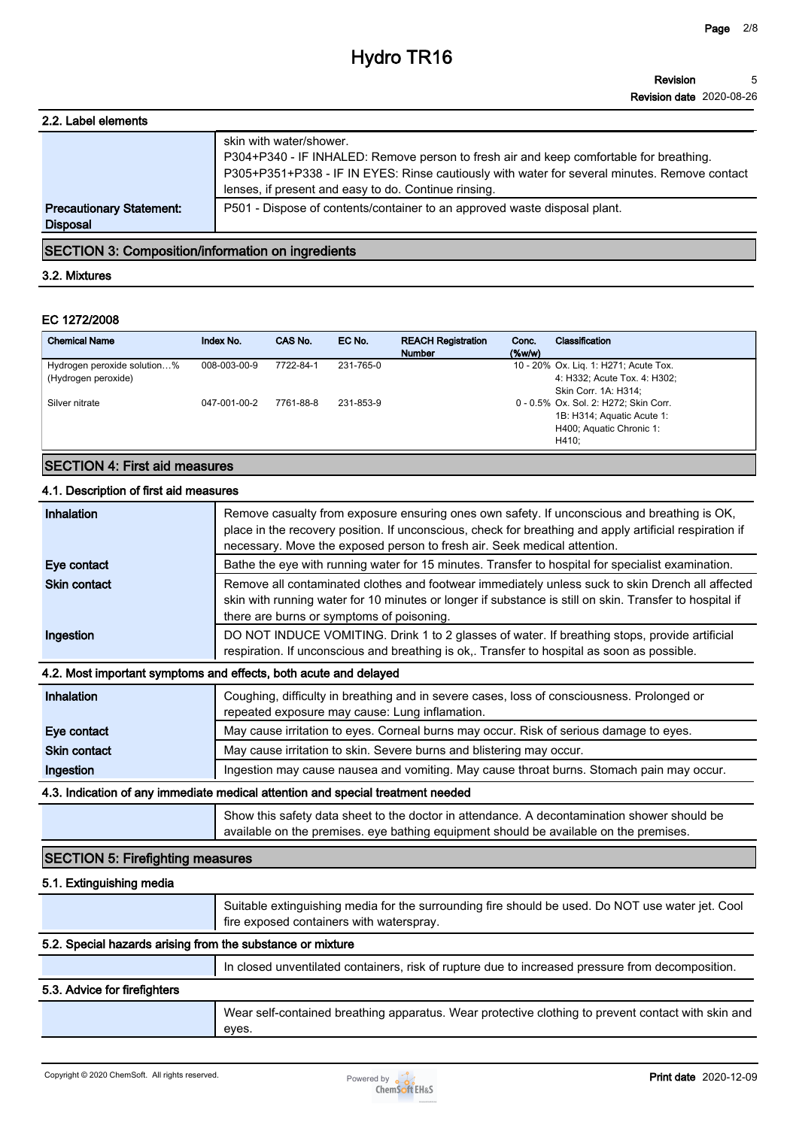#### **Revision Revision date 2020-08-26 5**

| 2.2. Label elements                                |                                                                                                                                                                                                                                                                           |
|----------------------------------------------------|---------------------------------------------------------------------------------------------------------------------------------------------------------------------------------------------------------------------------------------------------------------------------|
|                                                    | skin with water/shower.<br>P304+P340 - IF INHALED: Remove person to fresh air and keep comfortable for breathing.<br>P305+P351+P338 - IF IN EYES: Rinse cautiously with water for several minutes. Remove contact<br>lenses, if present and easy to do. Continue rinsing. |
| <b>Precautionary Statement:</b><br><b>Disposal</b> | P501 - Dispose of contents/container to an approved waste disposal plant.                                                                                                                                                                                                 |
|                                                    |                                                                                                                                                                                                                                                                           |

**SECTION 3: Composition/information on ingredients**

#### **3.2. Mixtures**

#### **EC 1272/2008**

| <b>Chemical Name</b>                               | Index No.    | CAS No.   | EC No.    | <b>REACH Registration</b><br><b>Number</b> | Conc.<br>$(\%w/w)$ | Classification                                                                                           |
|----------------------------------------------------|--------------|-----------|-----------|--------------------------------------------|--------------------|----------------------------------------------------------------------------------------------------------|
| Hydrogen peroxide solution%<br>(Hydrogen peroxide) | 008-003-00-9 | 7722-84-1 | 231-765-0 |                                            |                    | 10 - 20% Ox. Lig. 1: H271; Acute Tox.<br>4: H332; Acute Tox. 4: H302;<br>Skin Corr. 1A: H314:            |
| Silver nitrate                                     | 047-001-00-2 | 7761-88-8 | 231-853-9 |                                            |                    | 0 - 0.5% Ox. Sol. 2: H272; Skin Corr.<br>1B: H314; Aquatic Acute 1:<br>H400; Aquatic Chronic 1:<br>H410: |

#### **SECTION 4: First aid measures**

### **4.1. Description of first aid measures**

| <b>Inhalation</b>   | Remove casualty from exposure ensuring ones own safety. If unconscious and breathing is OK,<br>place in the recovery position. If unconscious, check for breathing and apply artificial respiration if<br>necessary. Move the exposed person to fresh air. Seek medical attention. |
|---------------------|------------------------------------------------------------------------------------------------------------------------------------------------------------------------------------------------------------------------------------------------------------------------------------|
| Eye contact         | Bathe the eye with running water for 15 minutes. Transfer to hospital for specialist examination.                                                                                                                                                                                  |
| <b>Skin contact</b> | Remove all contaminated clothes and footwear immediately unless suck to skin Drench all affected<br>skin with running water for 10 minutes or longer if substance is still on skin. Transfer to hospital if<br>there are burns or symptoms of poisoning.                           |
| Ingestion           | DO NOT INDUCE VOMITING. Drink 1 to 2 glasses of water. If breathing stops, provide artificial<br>respiration. If unconscious and breathing is ok,. Transfer to hospital as soon as possible.                                                                                       |
|                     | 4.2. Most important symptoms and effects, both acute and delayed                                                                                                                                                                                                                   |
| <b>Inhalation</b>   | Coughing, difficulty in breathing and in severe cases, loss of consciousness. Prolonged or<br>repeated exposure may cause: Lung inflamation.                                                                                                                                       |
| Eye contact         | May cause irritation to eyes. Corneal burns may occur. Risk of serious damage to eyes.                                                                                                                                                                                             |
| <b>Skin contact</b> | May cause irritation to skin. Severe burns and blistering may occur.                                                                                                                                                                                                               |
| Ingestion           | Ingestion may cause nausea and vomiting. May cause throat burns. Stomach pain may occur.                                                                                                                                                                                           |
|                     | 4.3. Indication of any immediate medical attention and special treatment needed                                                                                                                                                                                                    |
|                     | Show this safety data sheet to the doctor in attendance. A decontamination shower should be                                                                                                                                                                                        |

### **SECTION 5: Firefighting measures**

#### **5.1. Extinguishing media**

|                                                            | Suitable extinguishing media for the surrounding fire should be used. Do NOT use water jet. Cool<br>fire exposed containers with waterspray. |
|------------------------------------------------------------|----------------------------------------------------------------------------------------------------------------------------------------------|
| 5.2. Special hazards arising from the substance or mixture |                                                                                                                                              |
|                                                            | In closed unventilated containers, risk of rupture due to increased pressure from decomposition.                                             |
| 5.3. Advice for firefighters                               |                                                                                                                                              |
|                                                            | Wear self-contained breathing apparatus. Wear protective clothing to prevent contact with skin and                                           |
|                                                            | eyes.                                                                                                                                        |

**available on the premises. eye bathing equipment should be available on the premises.**

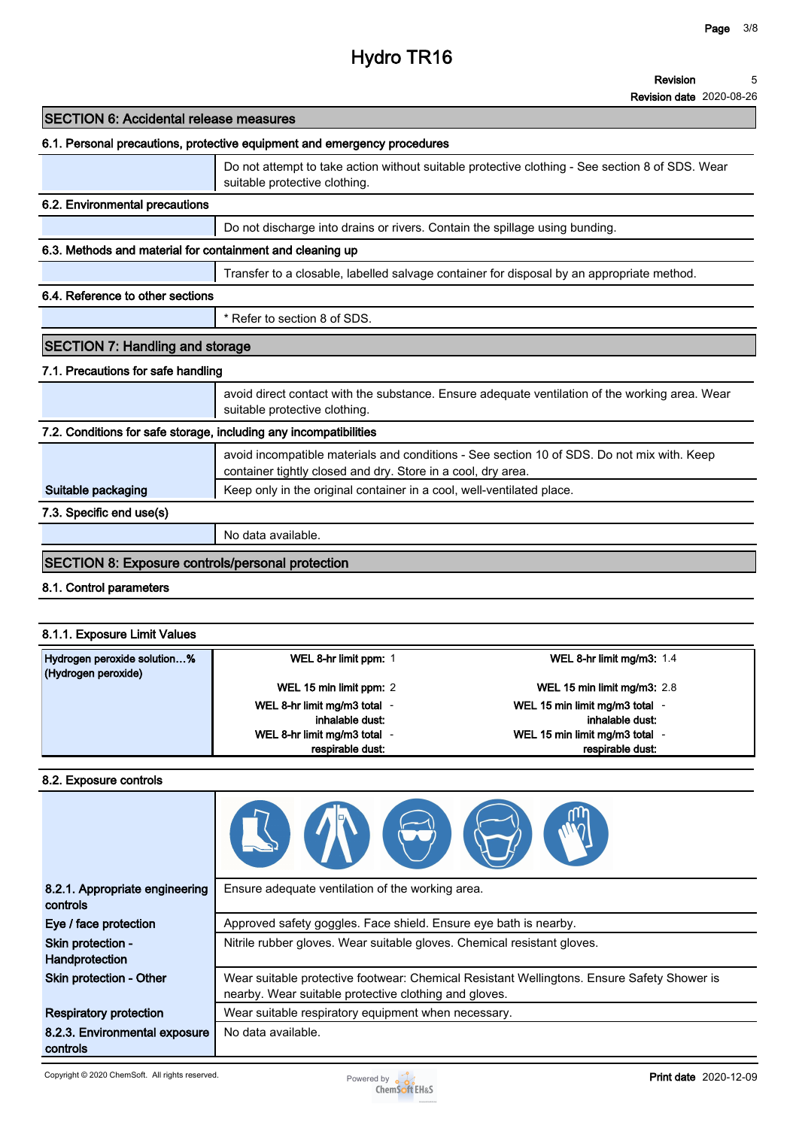# **Hydro TR16**

#### **Revision 5**

**Revision date 2020-08-26**

| <b>SECTION 6: Accidental release measures</b>                     |                                                                                                                                                            |
|-------------------------------------------------------------------|------------------------------------------------------------------------------------------------------------------------------------------------------------|
|                                                                   | 6.1. Personal precautions, protective equipment and emergency procedures                                                                                   |
|                                                                   | Do not attempt to take action without suitable protective clothing - See section 8 of SDS. Wear<br>suitable protective clothing.                           |
| 6.2. Environmental precautions                                    |                                                                                                                                                            |
|                                                                   | Do not discharge into drains or rivers. Contain the spillage using bunding.                                                                                |
| 6.3. Methods and material for containment and cleaning up         |                                                                                                                                                            |
|                                                                   | Transfer to a closable, labelled salvage container for disposal by an appropriate method.                                                                  |
| 6.4. Reference to other sections                                  |                                                                                                                                                            |
|                                                                   | * Refer to section 8 of SDS.                                                                                                                               |
| <b>SECTION 7: Handling and storage</b>                            |                                                                                                                                                            |
| 7.1. Precautions for safe handling                                |                                                                                                                                                            |
|                                                                   | avoid direct contact with the substance. Ensure adequate ventilation of the working area. Wear<br>suitable protective clothing.                            |
| 7.2. Conditions for safe storage, including any incompatibilities |                                                                                                                                                            |
|                                                                   | avoid incompatible materials and conditions - See section 10 of SDS. Do not mix with. Keep<br>container tightly closed and dry. Store in a cool, dry area. |
| Suitable packaging                                                | Keep only in the original container in a cool, well-ventilated place.                                                                                      |
| 7.3. Specific end use(s)                                          |                                                                                                                                                            |
|                                                                   | No data available.                                                                                                                                         |
| <b>SECTION 8: Exposure controls/personal protection</b>           |                                                                                                                                                            |
| 8.1. Control parameters                                           |                                                                                                                                                            |
|                                                                   |                                                                                                                                                            |

### **8.1.1. Exposure Limit Values**

| Hydrogen peroxide solution% | WEL 8-hr limit ppm: 1      | WEL 8-hr limit mg/m3: $1.4$   |
|-----------------------------|----------------------------|-------------------------------|
| (Hydrogen peroxide)         | WEL 15 min limit ppm: 2    | WEL 15 min limit mg/m3: $2.8$ |
|                             | WEL 8-hr limit mg/m3 total | WEL 15 min limit mg/m3 total  |
|                             | inhalable dust:            | inhalable dust:               |
|                             | WEL 8-hr limit mg/m3 total | WEL 15 min limit mg/m3 total  |
|                             | respirable dust:           | respirable dust.              |

#### **8.2. Exposure controls**

| 8.2.1. Appropriate engineering<br>controls | Ensure adequate ventilation of the working area.                                                                                                    |
|--------------------------------------------|-----------------------------------------------------------------------------------------------------------------------------------------------------|
| Eye / face protection                      | Approved safety goggles. Face shield. Ensure eye bath is nearby.                                                                                    |
| Skin protection -<br>Handprotection        | Nitrile rubber gloves. Wear suitable gloves. Chemical resistant gloves.                                                                             |
| Skin protection - Other                    | Wear suitable protective footwear: Chemical Resistant Wellingtons. Ensure Safety Shower is<br>nearby. Wear suitable protective clothing and gloves. |
| <b>Respiratory protection</b>              | Wear suitable respiratory equipment when necessary.                                                                                                 |
| 8.2.3. Environmental exposure<br>controls  | No data available.                                                                                                                                  |

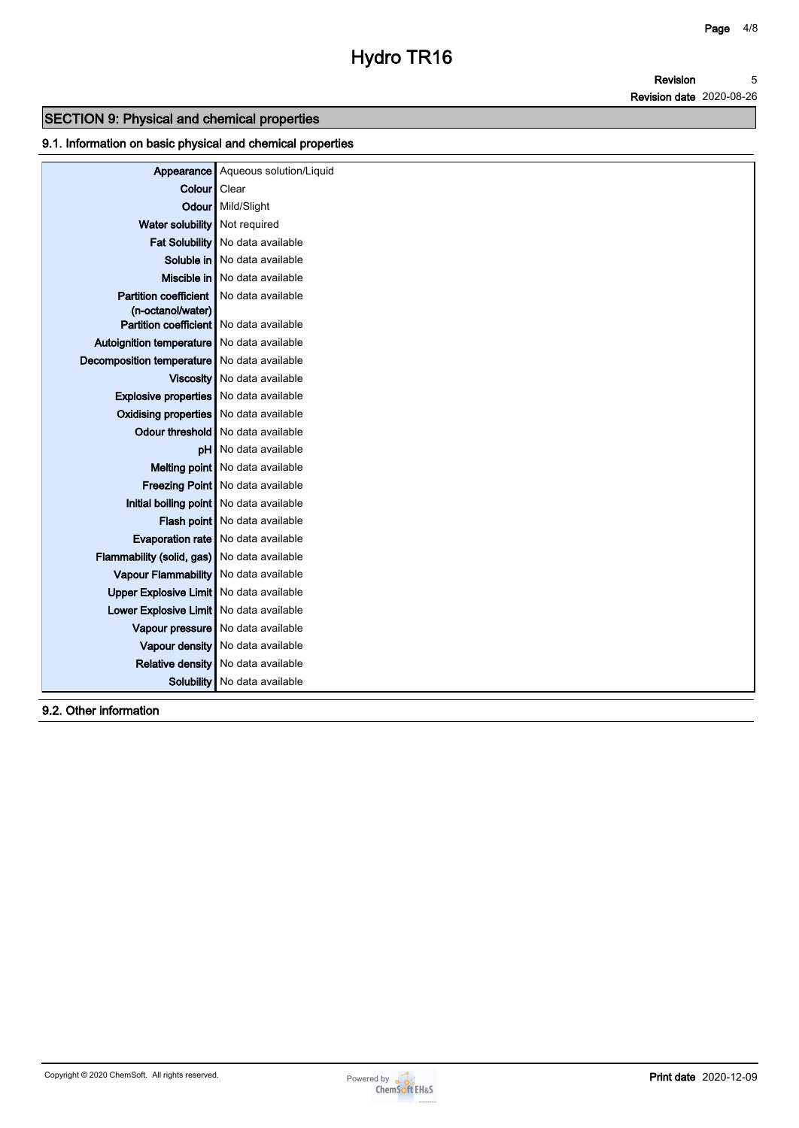**Revision Revision date 2020-08-26 5**

### **SECTION 9: Physical and chemical properties**

#### **9.1. Information on basic physical and chemical properties**

|                                               | Appearance Aqueous solution/Liquid      |
|-----------------------------------------------|-----------------------------------------|
| Colour   Clear                                |                                         |
|                                               | Odour   Mild/Slight                     |
| Water solubility   Not required               |                                         |
|                                               | Fat Solubility   No data available      |
|                                               | Soluble in   No data available          |
|                                               | Miscible in   No data available         |
| <b>Partition coefficient</b>                  | No data available                       |
| (n-octanol/water)                             |                                         |
| Partition coefficient   No data available     |                                         |
| Autoignition temperature   No data available  |                                         |
| Decomposition temperature   No data available |                                         |
|                                               | Viscosity   No data available           |
| Explosive properties   No data available      |                                         |
| <b>Oxidising properties</b> No data available |                                         |
|                                               | Odour threshold   No data available     |
|                                               | <b>pH</b> No data available             |
|                                               | Melting point   No data available       |
|                                               | Freezing Point   No data available      |
|                                               | Initial boiling point No data available |
|                                               | Flash point No data available           |
|                                               | Evaporation rate   No data available    |
| Flammability (solid, gas) No data available   |                                         |
| Vapour Flammability   No data available       |                                         |
| Upper Explosive Limit   No data available     |                                         |
| Lower Explosive Limit   No data available     |                                         |
|                                               | Vapour pressure   No data available     |
|                                               | Vapour density   No data available      |
|                                               | Relative density   No data available    |
|                                               | Solubility   No data available          |

**9.2. Other information**

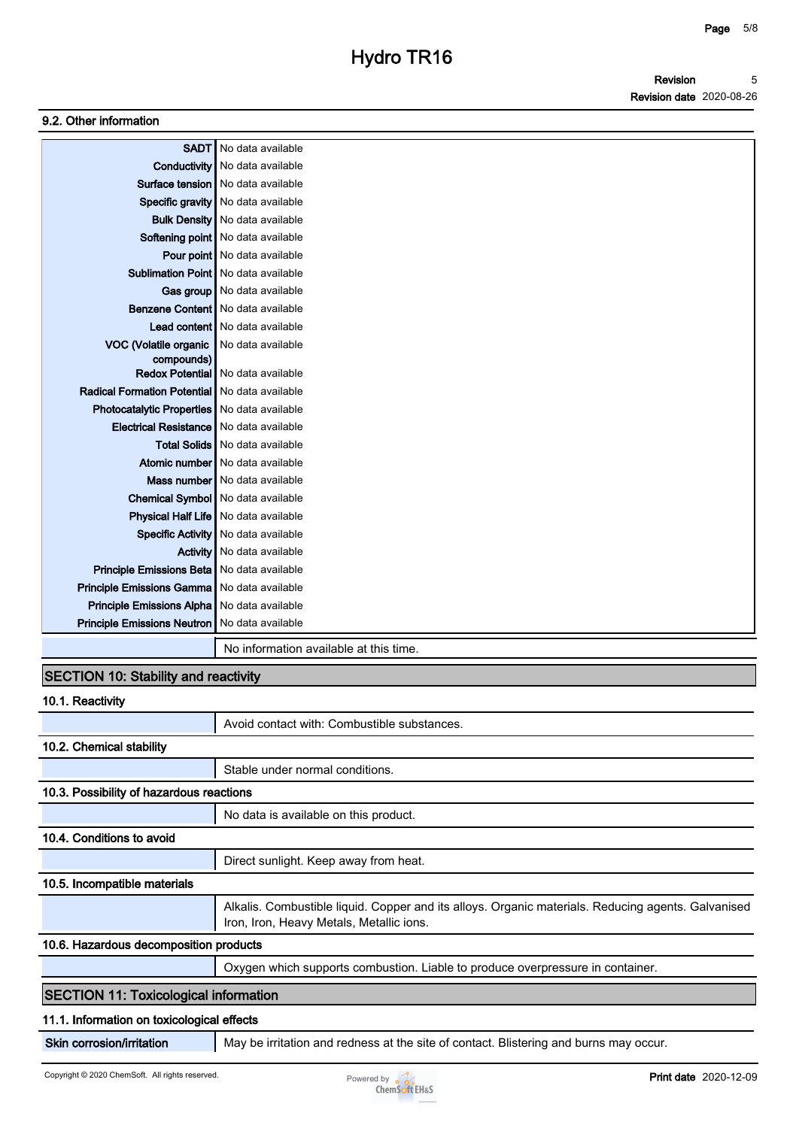#### **9.2. Other information**

| <b>SADT</b>                        | No data available                            |
|------------------------------------|----------------------------------------------|
|                                    | <b>Conductivity</b> No data available        |
| Surface tension                    | No data available                            |
| Specific gravity                   | No data available                            |
| <b>Bulk Density</b>                | No data available                            |
|                                    | Softening point   No data available          |
|                                    | Pour point No data available                 |
|                                    | <b>Sublimation Point I No data available</b> |
|                                    | Gas group   No data available                |
|                                    | Benzene Content   No data available          |
|                                    | Lead content   No data available             |
| VOC (Volatile organic              | No data available                            |
| compounds)                         |                                              |
| <b>Redox Potential</b>             | No data available                            |
| <b>Radical Formation Potential</b> | No data available                            |
| <b>Photocatalytic Properties</b>   | No data available                            |
| <b>Electrical Resistance</b>       | No data available                            |
|                                    | Total Solids   No data available             |
| Atomic number                      | No data available                            |
|                                    | Mass number   No data available              |
|                                    | Chemical Symbol   No data available          |
|                                    | <b>Physical Half Life</b> No data available  |
| <b>Specific Activity</b>           | No data available                            |
| <b>Activity</b>                    | No data available                            |
| Principle Emissions Beta           | No data available                            |
| Principle Emissions Gamma          | No data available                            |
| Principle Emissions Alpha          | No data available                            |
| <b>Principle Emissions Neutron</b> | No data available                            |
|                                    | No information available at this time.       |

### **SECTION 10: Stability and reactivity**

| 10.1. Reactivity                             |                                                                                                                                                |
|----------------------------------------------|------------------------------------------------------------------------------------------------------------------------------------------------|
|                                              | Avoid contact with: Combustible substances.                                                                                                    |
| 10.2. Chemical stability                     |                                                                                                                                                |
|                                              | Stable under normal conditions.                                                                                                                |
| 10.3. Possibility of hazardous reactions     |                                                                                                                                                |
|                                              | No data is available on this product.                                                                                                          |
| 10.4. Conditions to avoid                    |                                                                                                                                                |
|                                              | Direct sunlight. Keep away from heat.                                                                                                          |
| 10.5. Incompatible materials                 |                                                                                                                                                |
|                                              | Alkalis. Combustible liquid. Copper and its alloys. Organic materials. Reducing agents. Galvanised<br>Iron, Iron, Heavy Metals, Metallic ions. |
| 10.6. Hazardous decomposition products       |                                                                                                                                                |
|                                              | Oxygen which supports combustion. Liable to produce overpressure in container.                                                                 |
| <b>SECTION 11: Toxicological information</b> |                                                                                                                                                |
| 11.1. Information on toxicological effects   |                                                                                                                                                |
| Skin corrosion/irritation                    | May be irritation and redness at the site of contact. Blistering and burns may occur.                                                          |

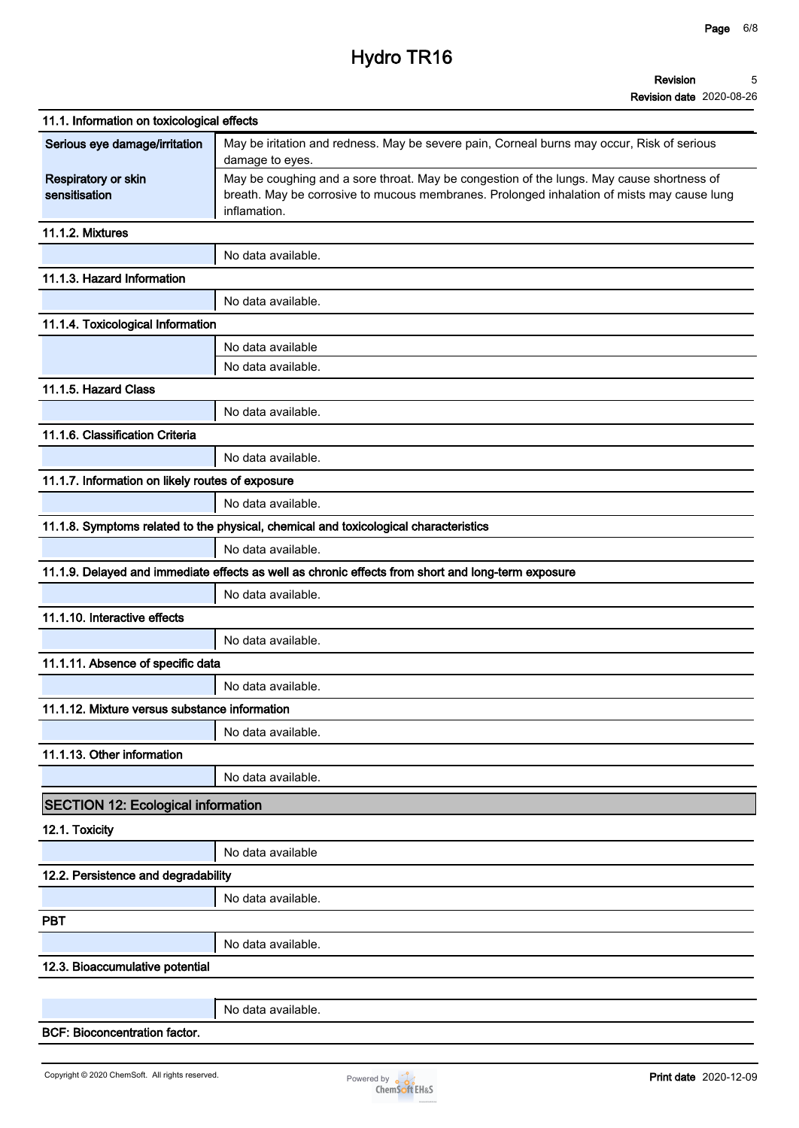# **Hydro TR16**

#### **Revision 5**

| 11.1. Information on toxicological effects       |                                                                                                                                                                                                         |  |  |
|--------------------------------------------------|---------------------------------------------------------------------------------------------------------------------------------------------------------------------------------------------------------|--|--|
| Serious eye damage/irritation                    | May be iritation and redness. May be severe pain, Corneal burns may occur, Risk of serious<br>damage to eyes.                                                                                           |  |  |
| Respiratory or skin<br>sensitisation             | May be coughing and a sore throat. May be congestion of the lungs. May cause shortness of<br>breath. May be corrosive to mucous membranes. Prolonged inhalation of mists may cause lung<br>inflamation. |  |  |
| 11.1.2. Mixtures                                 |                                                                                                                                                                                                         |  |  |
|                                                  | No data available.                                                                                                                                                                                      |  |  |
| 11.1.3. Hazard Information                       |                                                                                                                                                                                                         |  |  |
|                                                  | No data available.                                                                                                                                                                                      |  |  |
| 11.1.4. Toxicological Information                |                                                                                                                                                                                                         |  |  |
|                                                  | No data available                                                                                                                                                                                       |  |  |
|                                                  | No data available.                                                                                                                                                                                      |  |  |
| 11.1.5. Hazard Class                             |                                                                                                                                                                                                         |  |  |
|                                                  | No data available.                                                                                                                                                                                      |  |  |
| 11.1.6. Classification Criteria                  |                                                                                                                                                                                                         |  |  |
|                                                  | No data available.                                                                                                                                                                                      |  |  |
| 11.1.7. Information on likely routes of exposure |                                                                                                                                                                                                         |  |  |
|                                                  | No data available.                                                                                                                                                                                      |  |  |
|                                                  | 11.1.8. Symptoms related to the physical, chemical and toxicological characteristics                                                                                                                    |  |  |
|                                                  | No data available.                                                                                                                                                                                      |  |  |
|                                                  | 11.1.9. Delayed and immediate effects as well as chronic effects from short and long-term exposure                                                                                                      |  |  |
|                                                  | No data available.                                                                                                                                                                                      |  |  |
| 11.1.10. Interactive effects                     |                                                                                                                                                                                                         |  |  |
|                                                  | No data available.                                                                                                                                                                                      |  |  |
| 11.1.11. Absence of specific data                |                                                                                                                                                                                                         |  |  |
|                                                  | No data available.                                                                                                                                                                                      |  |  |
| 11.1.12. Mixture versus substance information    |                                                                                                                                                                                                         |  |  |
|                                                  | No data available.                                                                                                                                                                                      |  |  |
| 11.1.13. Other information                       |                                                                                                                                                                                                         |  |  |
|                                                  | No data available.                                                                                                                                                                                      |  |  |
| <b>SECTION 12: Ecological information</b>        |                                                                                                                                                                                                         |  |  |
| 12.1. Toxicity                                   |                                                                                                                                                                                                         |  |  |
|                                                  | No data available                                                                                                                                                                                       |  |  |
| 12.2. Persistence and degradability              |                                                                                                                                                                                                         |  |  |
|                                                  | No data available.                                                                                                                                                                                      |  |  |
| <b>PBT</b>                                       |                                                                                                                                                                                                         |  |  |
|                                                  | No data available.                                                                                                                                                                                      |  |  |
| 12.3. Bioaccumulative potential                  |                                                                                                                                                                                                         |  |  |
|                                                  |                                                                                                                                                                                                         |  |  |
|                                                  | No data available.                                                                                                                                                                                      |  |  |
| <b>BCF: Bioconcentration factor.</b>             |                                                                                                                                                                                                         |  |  |

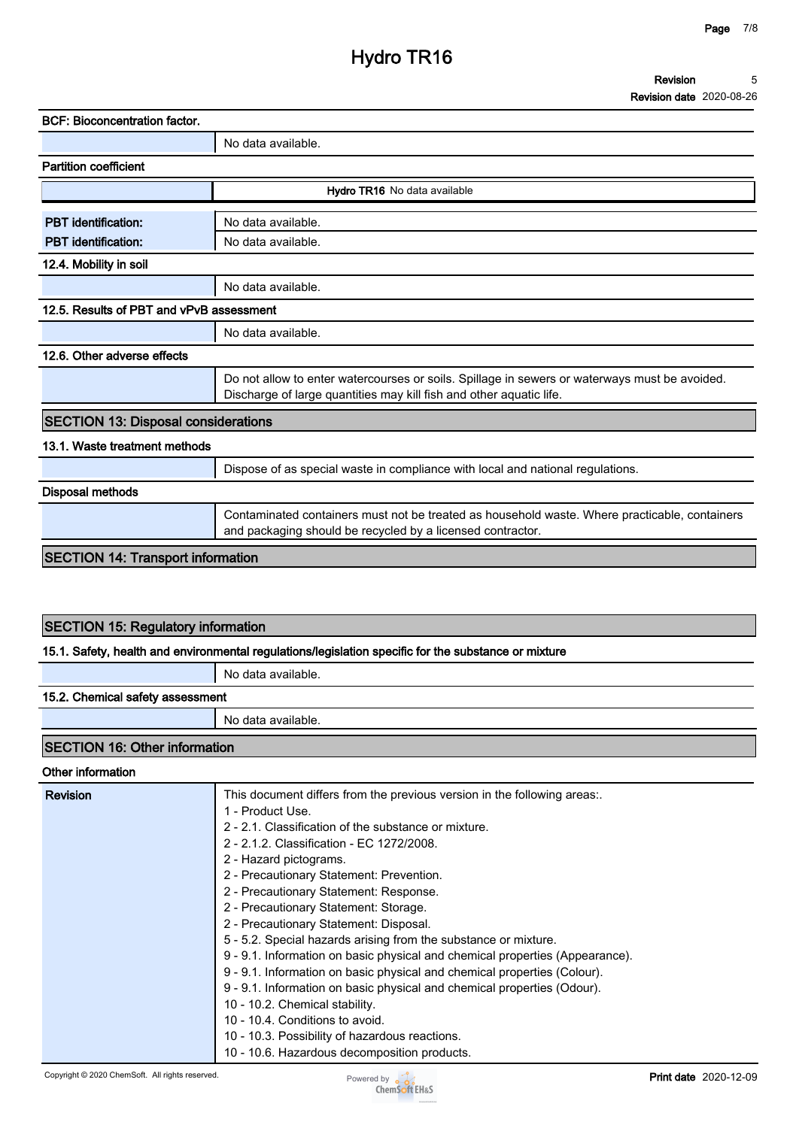# **Hydro TR16**

| <b>BCF: Bioconcentration factor.</b>       |                                                                                                                                                                      |  |  |  |
|--------------------------------------------|----------------------------------------------------------------------------------------------------------------------------------------------------------------------|--|--|--|
|                                            | No data available.                                                                                                                                                   |  |  |  |
| <b>Partition coefficient</b>               |                                                                                                                                                                      |  |  |  |
|                                            | Hydro TR16 No data available                                                                                                                                         |  |  |  |
| <b>PBT</b> identification:                 | No data available.                                                                                                                                                   |  |  |  |
| <b>PBT</b> identification:                 | No data available.                                                                                                                                                   |  |  |  |
| 12.4. Mobility in soil                     |                                                                                                                                                                      |  |  |  |
|                                            | No data available.                                                                                                                                                   |  |  |  |
| 12.5. Results of PBT and vPvB assessment   |                                                                                                                                                                      |  |  |  |
|                                            | No data available.                                                                                                                                                   |  |  |  |
| 12.6. Other adverse effects                |                                                                                                                                                                      |  |  |  |
|                                            | Do not allow to enter watercourses or soils. Spillage in sewers or waterways must be avoided.<br>Discharge of large quantities may kill fish and other aquatic life. |  |  |  |
| <b>SECTION 13: Disposal considerations</b> |                                                                                                                                                                      |  |  |  |
| 13.1. Waste treatment methods              |                                                                                                                                                                      |  |  |  |
|                                            | Dispose of as special waste in compliance with local and national regulations.                                                                                       |  |  |  |
| <b>Disposal methods</b>                    |                                                                                                                                                                      |  |  |  |
|                                            | Contaminated containers must not be treated as household waste. Where practicable, containers<br>and packaging should be recycled by a licensed contractor.          |  |  |  |
| <b>SECTION 14: Transport information</b>   |                                                                                                                                                                      |  |  |  |

### **SECTION 15: Regulatory information**

#### **15.1. Safety, health and environmental regulations/legislation specific for the substance or mixture**

**No data available.**

#### **15.2. Chemical safety assessment**

**No data available.**

### **SECTION 16: Other information**

#### **Other information**

| <b>Revision</b> | This document differs from the previous version in the following areas.      |
|-----------------|------------------------------------------------------------------------------|
|                 | 1 - Product Use.                                                             |
|                 | 2 - 2.1. Classification of the substance or mixture.                         |
|                 | 2 - 2.1.2. Classification - EC 1272/2008.                                    |
|                 | 2 - Hazard pictograms.                                                       |
|                 | 2 - Precautionary Statement: Prevention.                                     |
|                 | 2 - Precautionary Statement: Response.                                       |
|                 | 2 - Precautionary Statement: Storage.                                        |
|                 | 2 - Precautionary Statement: Disposal.                                       |
|                 | 5 - 5.2. Special hazards arising from the substance or mixture.              |
|                 | 9 - 9.1. Information on basic physical and chemical properties (Appearance). |
|                 | 9 - 9.1. Information on basic physical and chemical properties (Colour).     |
|                 | 9 - 9.1. Information on basic physical and chemical properties (Odour).      |
|                 | 10 - 10.2. Chemical stability.                                               |
|                 | 10 - 10.4. Conditions to avoid.                                              |
|                 | 10 - 10.3. Possibility of hazardous reactions.                               |
|                 | 10 - 10.6. Hazardous decomposition products.                                 |